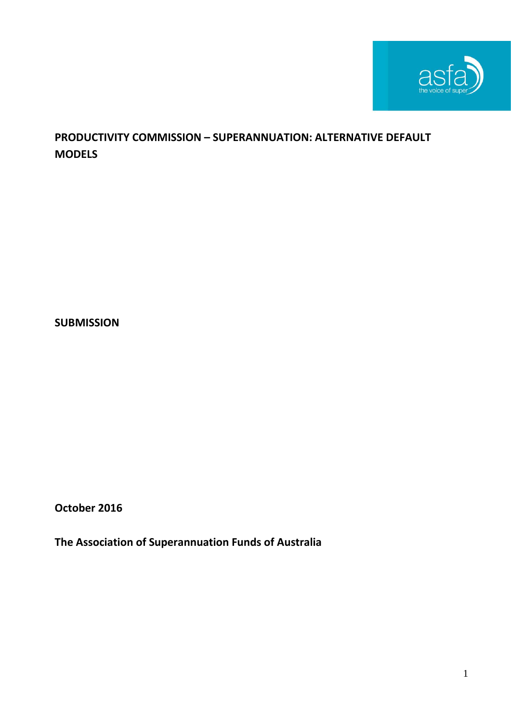

# **PRODUCTIVITY COMMISSION – SUPERANNUATION: ALTERNATIVE DEFAULT MODELS**

**SUBMISSION**

**October 2016**

**The Association of Superannuation Funds of Australia**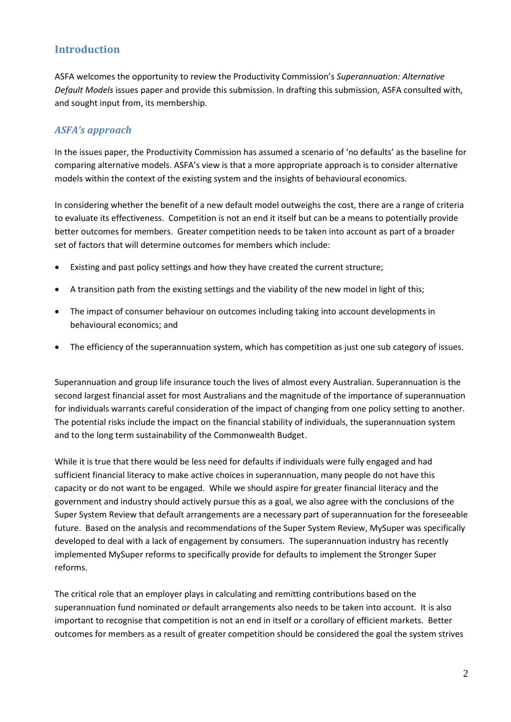## **Introduction**

ASFA welcomes the opportunity to review the Productivity Commission's *Superannuation: Alternative Default Models* issues paper and provide this submission. In drafting this submission, ASFA consulted with, and sought input from, its membership.

## *ASFA's approach*

In the issues paper, the Productivity Commission has assumed a scenario of 'no defaults' as the baseline for comparing alternative models. ASFA's view is that a more appropriate approach is to consider alternative models within the context of the existing system and the insights of behavioural economics.

In considering whether the benefit of a new default model outweighs the cost, there are a range of criteria to evaluate its effectiveness. Competition is not an end it itself but can be a means to potentially provide better outcomes for members. Greater competition needs to be taken into account as part of a broader set of factors that will determine outcomes for members which include:

- Existing and past policy settings and how they have created the current structure;
- A transition path from the existing settings and the viability of the new model in light of this;
- The impact of consumer behaviour on outcomes including taking into account developments in behavioural economics; and
- The efficiency of the superannuation system, which has competition as just one sub category of issues.

Superannuation and group life insurance touch the lives of almost every Australian. Superannuation is the second largest financial asset for most Australians and the magnitude of the importance of superannuation for individuals warrants careful consideration of the impact of changing from one policy setting to another. The potential risks include the impact on the financial stability of individuals, the superannuation system and to the long term sustainability of the Commonwealth Budget.

While it is true that there would be less need for defaults if individuals were fully engaged and had sufficient financial literacy to make active choices in superannuation, many people do not have this capacity or do not want to be engaged. While we should aspire for greater financial literacy and the government and industry should actively pursue this as a goal, we also agree with the conclusions of the Super System Review that default arrangements are a necessary part of superannuation for the foreseeable future. Based on the analysis and recommendations of the Super System Review, MySuper was specifically developed to deal with a lack of engagement by consumers. The superannuation industry has recently implemented MySuper reforms to specifically provide for defaults to implement the Stronger Super reforms.

The critical role that an employer plays in calculating and remitting contributions based on the superannuation fund nominated or default arrangements also needs to be taken into account. It is also important to recognise that competition is not an end in itself or a corollary of efficient markets. Better outcomes for members as a result of greater competition should be considered the goal the system strives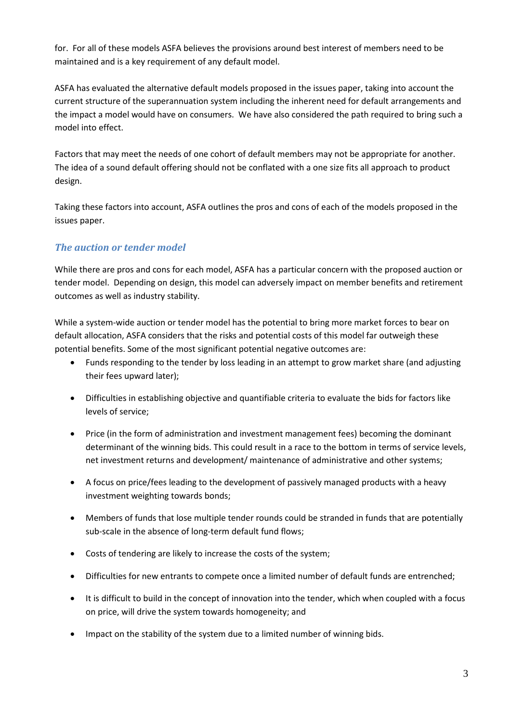for. For all of these models ASFA believes the provisions around best interest of members need to be maintained and is a key requirement of any default model.

ASFA has evaluated the alternative default models proposed in the issues paper, taking into account the current structure of the superannuation system including the inherent need for default arrangements and the impact a model would have on consumers. We have also considered the path required to bring such a model into effect.

Factors that may meet the needs of one cohort of default members may not be appropriate for another. The idea of a sound default offering should not be conflated with a one size fits all approach to product design.

Taking these factors into account, ASFA outlines the pros and cons of each of the models proposed in the issues paper.

# *The auction or tender model*

While there are pros and cons for each model, ASFA has a particular concern with the proposed auction or tender model. Depending on design, this model can adversely impact on member benefits and retirement outcomes as well as industry stability.

While a system-wide auction or tender model has the potential to bring more market forces to bear on default allocation, ASFA considers that the risks and potential costs of this model far outweigh these potential benefits. Some of the most significant potential negative outcomes are:

- Funds responding to the tender by loss leading in an attempt to grow market share (and adjusting their fees upward later);
- Difficulties in establishing objective and quantifiable criteria to evaluate the bids for factors like levels of service;
- Price (in the form of administration and investment management fees) becoming the dominant determinant of the winning bids. This could result in a race to the bottom in terms of service levels, net investment returns and development/ maintenance of administrative and other systems;
- A focus on price/fees leading to the development of passively managed products with a heavy investment weighting towards bonds;
- Members of funds that lose multiple tender rounds could be stranded in funds that are potentially sub-scale in the absence of long-term default fund flows;
- Costs of tendering are likely to increase the costs of the system;
- Difficulties for new entrants to compete once a limited number of default funds are entrenched;
- It is difficult to build in the concept of innovation into the tender, which when coupled with a focus on price, will drive the system towards homogeneity; and
- Impact on the stability of the system due to a limited number of winning bids.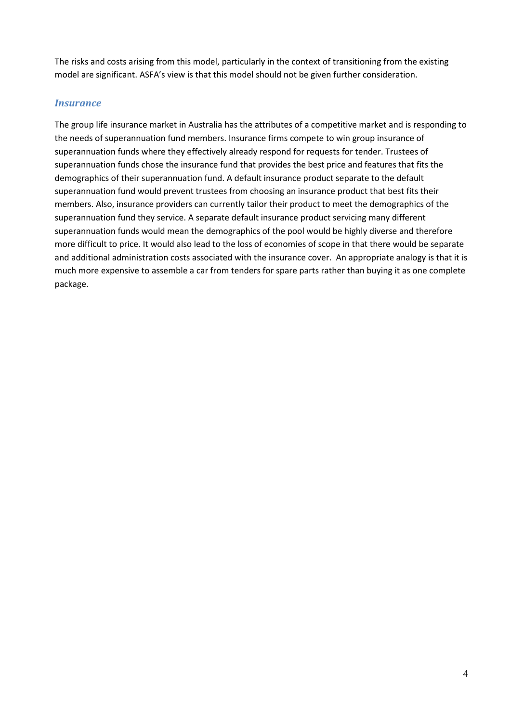The risks and costs arising from this model, particularly in the context of transitioning from the existing model are significant. ASFA's view is that this model should not be given further consideration.

#### *Insurance*

The group life insurance market in Australia has the attributes of a competitive market and is responding to the needs of superannuation fund members. Insurance firms compete to win group insurance of superannuation funds where they effectively already respond for requests for tender. Trustees of superannuation funds chose the insurance fund that provides the best price and features that fits the demographics of their superannuation fund. A default insurance product separate to the default superannuation fund would prevent trustees from choosing an insurance product that best fits their members. Also, insurance providers can currently tailor their product to meet the demographics of the superannuation fund they service. A separate default insurance product servicing many different superannuation funds would mean the demographics of the pool would be highly diverse and therefore more difficult to price. It would also lead to the loss of economies of scope in that there would be separate and additional administration costs associated with the insurance cover. An appropriate analogy is that it is much more expensive to assemble a car from tenders for spare parts rather than buying it as one complete package.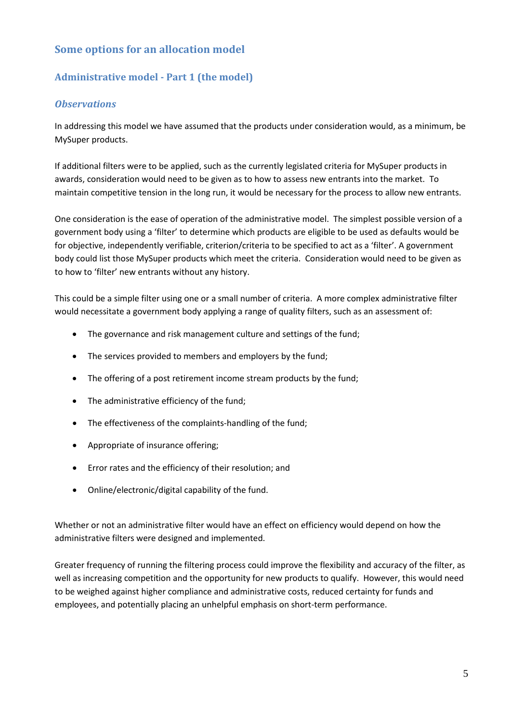# **Some options for an allocation model**

## **Administrative model - Part 1 (the model)**

#### *Observations*

In addressing this model we have assumed that the products under consideration would, as a minimum, be MySuper products.

If additional filters were to be applied, such as the currently legislated criteria for MySuper products in awards, consideration would need to be given as to how to assess new entrants into the market. To maintain competitive tension in the long run, it would be necessary for the process to allow new entrants.

One consideration is the ease of operation of the administrative model. The simplest possible version of a government body using a 'filter' to determine which products are eligible to be used as defaults would be for objective, independently verifiable, criterion/criteria to be specified to act as a 'filter'. A government body could list those MySuper products which meet the criteria. Consideration would need to be given as to how to 'filter' new entrants without any history.

This could be a simple filter using one or a small number of criteria. A more complex administrative filter would necessitate a government body applying a range of quality filters, such as an assessment of:

- The governance and risk management culture and settings of the fund;
- The services provided to members and employers by the fund;
- The offering of a post retirement income stream products by the fund;
- The administrative efficiency of the fund;
- The effectiveness of the complaints-handling of the fund;
- Appropriate of insurance offering;
- Error rates and the efficiency of their resolution; and
- Online/electronic/digital capability of the fund.

Whether or not an administrative filter would have an effect on efficiency would depend on how the administrative filters were designed and implemented.

Greater frequency of running the filtering process could improve the flexibility and accuracy of the filter, as well as increasing competition and the opportunity for new products to qualify. However, this would need to be weighed against higher compliance and administrative costs, reduced certainty for funds and employees, and potentially placing an unhelpful emphasis on short-term performance.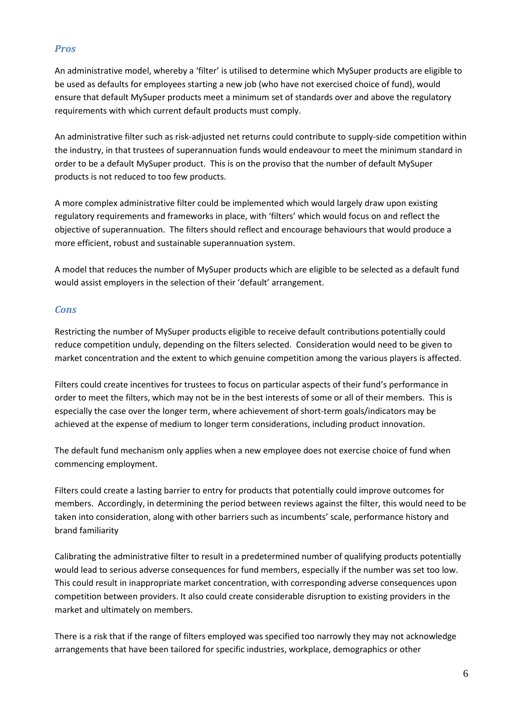#### *Pros*

An administrative model, whereby a 'filter' is utilised to determine which MySuper products are eligible to be used as defaults for employees starting a new job (who have not exercised choice of fund), would ensure that default MySuper products meet a minimum set of standards over and above the regulatory requirements with which current default products must comply.

An administrative filter such as risk-adjusted net returns could contribute to supply-side competition within the industry, in that trustees of superannuation funds would endeavour to meet the minimum standard in order to be a default MySuper product. This is on the proviso that the number of default MySuper products is not reduced to too few products.

A more complex administrative filter could be implemented which would largely draw upon existing regulatory requirements and frameworks in place, with 'filters' which would focus on and reflect the objective of superannuation. The filters should reflect and encourage behaviours that would produce a more efficient, robust and sustainable superannuation system.

A model that reduces the number of MySuper products which are eligible to be selected as a default fund would assist employers in the selection of their 'default' arrangement.

#### *Cons*

Restricting the number of MySuper products eligible to receive default contributions potentially could reduce competition unduly, depending on the filters selected. Consideration would need to be given to market concentration and the extent to which genuine competition among the various players is affected.

Filters could create incentives for trustees to focus on particular aspects of their fund's performance in order to meet the filters, which may not be in the best interests of some or all of their members. This is especially the case over the longer term, where achievement of short-term goals/indicators may be achieved at the expense of medium to longer term considerations, including product innovation.

The default fund mechanism only applies when a new employee does not exercise choice of fund when commencing employment.

Filters could create a lasting barrier to entry for products that potentially could improve outcomes for members. Accordingly, in determining the period between reviews against the filter, this would need to be taken into consideration, along with other barriers such as incumbents' scale, performance history and brand familiarity

Calibrating the administrative filter to result in a predetermined number of qualifying products potentially would lead to serious adverse consequences for fund members, especially if the number was set too low. This could result in inappropriate market concentration, with corresponding adverse consequences upon competition between providers. It also could create considerable disruption to existing providers in the market and ultimately on members.

There is a risk that if the range of filters employed was specified too narrowly they may not acknowledge arrangements that have been tailored for specific industries, workplace, demographics or other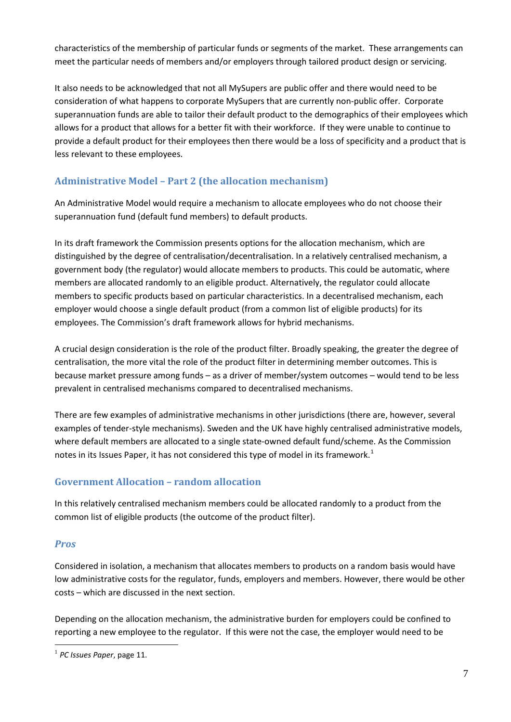characteristics of the membership of particular funds or segments of the market. These arrangements can meet the particular needs of members and/or employers through tailored product design or servicing.

It also needs to be acknowledged that not all MySupers are public offer and there would need to be consideration of what happens to corporate MySupers that are currently non-public offer. Corporate superannuation funds are able to tailor their default product to the demographics of their employees which allows for a product that allows for a better fit with their workforce. If they were unable to continue to provide a default product for their employees then there would be a loss of specificity and a product that is less relevant to these employees.

## **Administrative Model – Part 2 (the allocation mechanism)**

An Administrative Model would require a mechanism to allocate employees who do not choose their superannuation fund (default fund members) to default products.

In its draft framework the Commission presents options for the allocation mechanism, which are distinguished by the degree of centralisation/decentralisation. In a relatively centralised mechanism, a government body (the regulator) would allocate members to products. This could be automatic, where members are allocated randomly to an eligible product. Alternatively, the regulator could allocate members to specific products based on particular characteristics. In a decentralised mechanism, each employer would choose a single default product (from a common list of eligible products) for its employees. The Commission's draft framework allows for hybrid mechanisms.

A crucial design consideration is the role of the product filter. Broadly speaking, the greater the degree of centralisation, the more vital the role of the product filter in determining member outcomes. This is because market pressure among funds – as a driver of member/system outcomes – would tend to be less prevalent in centralised mechanisms compared to decentralised mechanisms.

There are few examples of administrative mechanisms in other jurisdictions (there are, however, several examples of tender-style mechanisms). Sweden and the UK have highly centralised administrative models, where default members are allocated to a single state-owned default fund/scheme. As the Commission notes in its Issues Paper, it has not considered this type of model in its framework.<sup>[1](#page-6-0)</sup>

## **Government Allocation – random allocation**

In this relatively centralised mechanism members could be allocated randomly to a product from the common list of eligible products (the outcome of the product filter).

## *Pros*

Considered in isolation, a mechanism that allocates members to products on a random basis would have low administrative costs for the regulator, funds, employers and members. However, there would be other costs – which are discussed in the next section.

Depending on the allocation mechanism, the administrative burden for employers could be confined to reporting a new employee to the regulator. If this were not the case, the employer would need to be

<span id="page-6-0"></span> <sup>1</sup> *PC Issues Paper*, page 11.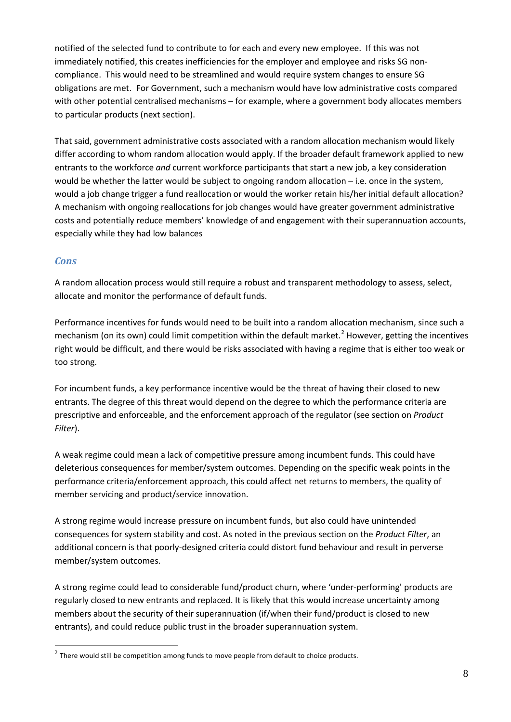notified of the selected fund to contribute to for each and every new employee. If this was not immediately notified, this creates inefficiencies for the employer and employee and risks SG noncompliance. This would need to be streamlined and would require system changes to ensure SG obligations are met. For Government, such a mechanism would have low administrative costs compared with other potential centralised mechanisms – for example, where a government body allocates members to particular products (next section).

That said, government administrative costs associated with a random allocation mechanism would likely differ according to whom random allocation would apply. If the broader default framework applied to new entrants to the workforce *and* current workforce participants that start a new job, a key consideration would be whether the latter would be subject to ongoing random allocation – i.e. once in the system, would a job change trigger a fund reallocation or would the worker retain his/her initial default allocation? A mechanism with ongoing reallocations for job changes would have greater government administrative costs and potentially reduce members' knowledge of and engagement with their superannuation accounts, especially while they had low balances

#### *Cons*

A random allocation process would still require a robust and transparent methodology to assess, select, allocate and monitor the performance of default funds.

Performance incentives for funds would need to be built into a random allocation mechanism, since such a mechanism (on its own) could limit competition within the default market.<sup>[2](#page-7-0)</sup> However, getting the incentives right would be difficult, and there would be risks associated with having a regime that is either too weak or too strong.

For incumbent funds, a key performance incentive would be the threat of having their closed to new entrants. The degree of this threat would depend on the degree to which the performance criteria are prescriptive and enforceable, and the enforcement approach of the regulator (see section on *Product Filter*).

A weak regime could mean a lack of competitive pressure among incumbent funds. This could have deleterious consequences for member/system outcomes. Depending on the specific weak points in the performance criteria/enforcement approach, this could affect net returns to members, the quality of member servicing and product/service innovation.

A strong regime would increase pressure on incumbent funds, but also could have unintended consequences for system stability and cost. As noted in the previous section on the *Product Filter*, an additional concern is that poorly-designed criteria could distort fund behaviour and result in perverse member/system outcomes.

A strong regime could lead to considerable fund/product churn, where 'under-performing' products are regularly closed to new entrants and replaced. It is likely that this would increase uncertainty among members about the security of their superannuation (if/when their fund/product is closed to new entrants), and could reduce public trust in the broader superannuation system.

<span id="page-7-0"></span> $2$  There would still be competition among funds to move people from default to choice products.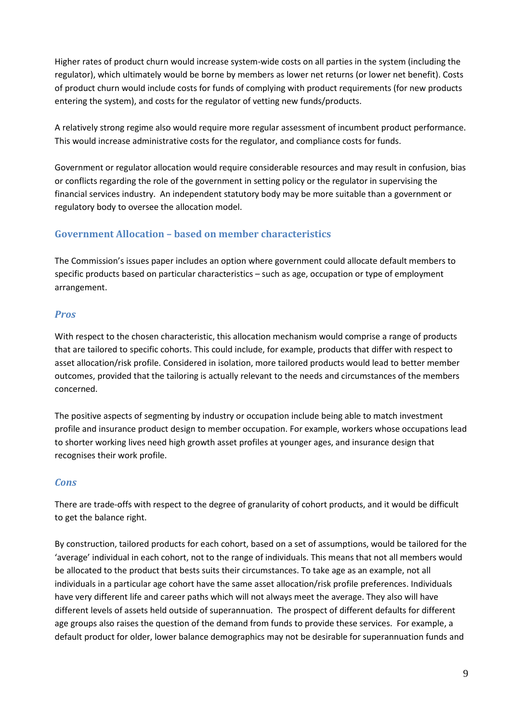Higher rates of product churn would increase system-wide costs on all parties in the system (including the regulator), which ultimately would be borne by members as lower net returns (or lower net benefit). Costs of product churn would include costs for funds of complying with product requirements (for new products entering the system), and costs for the regulator of vetting new funds/products.

A relatively strong regime also would require more regular assessment of incumbent product performance. This would increase administrative costs for the regulator, and compliance costs for funds.

Government or regulator allocation would require considerable resources and may result in confusion, bias or conflicts regarding the role of the government in setting policy or the regulator in supervising the financial services industry. An independent statutory body may be more suitable than a government or regulatory body to oversee the allocation model.

## **Government Allocation – based on member characteristics**

The Commission's issues paper includes an option where government could allocate default members to specific products based on particular characteristics – such as age, occupation or type of employment arrangement.

## *Pros*

With respect to the chosen characteristic, this allocation mechanism would comprise a range of products that are tailored to specific cohorts. This could include, for example, products that differ with respect to asset allocation/risk profile. Considered in isolation, more tailored products would lead to better member outcomes, provided that the tailoring is actually relevant to the needs and circumstances of the members concerned.

The positive aspects of segmenting by industry or occupation include being able to match investment profile and insurance product design to member occupation. For example, workers whose occupations lead to shorter working lives need high growth asset profiles at younger ages, and insurance design that recognises their work profile.

## *Cons*

There are trade-offs with respect to the degree of granularity of cohort products, and it would be difficult to get the balance right.

By construction, tailored products for each cohort, based on a set of assumptions, would be tailored for the 'average' individual in each cohort, not to the range of individuals. This means that not all members would be allocated to the product that bests suits their circumstances. To take age as an example, not all individuals in a particular age cohort have the same asset allocation/risk profile preferences. Individuals have very different life and career paths which will not always meet the average. They also will have different levels of assets held outside of superannuation. The prospect of different defaults for different age groups also raises the question of the demand from funds to provide these services. For example, a default product for older, lower balance demographics may not be desirable for superannuation funds and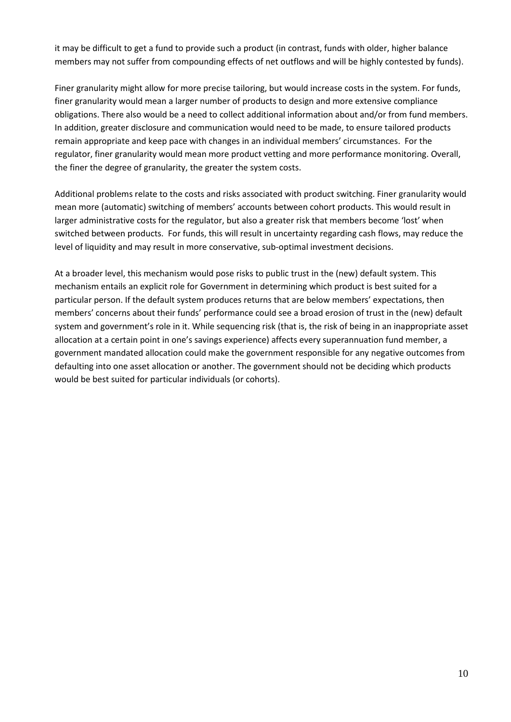it may be difficult to get a fund to provide such a product (in contrast, funds with older, higher balance members may not suffer from compounding effects of net outflows and will be highly contested by funds).

Finer granularity might allow for more precise tailoring, but would increase costs in the system. For funds, finer granularity would mean a larger number of products to design and more extensive compliance obligations. There also would be a need to collect additional information about and/or from fund members. In addition, greater disclosure and communication would need to be made, to ensure tailored products remain appropriate and keep pace with changes in an individual members' circumstances. For the regulator, finer granularity would mean more product vetting and more performance monitoring. Overall, the finer the degree of granularity, the greater the system costs.

Additional problems relate to the costs and risks associated with product switching. Finer granularity would mean more (automatic) switching of members' accounts between cohort products. This would result in larger administrative costs for the regulator, but also a greater risk that members become 'lost' when switched between products. For funds, this will result in uncertainty regarding cash flows, may reduce the level of liquidity and may result in more conservative, sub-optimal investment decisions.

At a broader level, this mechanism would pose risks to public trust in the (new) default system. This mechanism entails an explicit role for Government in determining which product is best suited for a particular person. If the default system produces returns that are below members' expectations, then members' concerns about their funds' performance could see a broad erosion of trust in the (new) default system and government's role in it. While sequencing risk (that is, the risk of being in an inappropriate asset allocation at a certain point in one's savings experience) affects every superannuation fund member, a government mandated allocation could make the government responsible for any negative outcomes from defaulting into one asset allocation or another. The government should not be deciding which products would be best suited for particular individuals (or cohorts).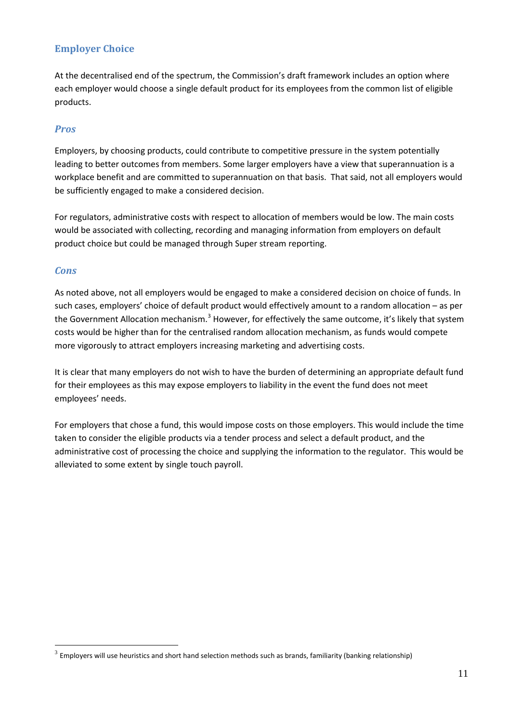## **Employer Choice**

At the decentralised end of the spectrum, the Commission's draft framework includes an option where each employer would choose a single default product for its employees from the common list of eligible products.

#### *Pros*

Employers, by choosing products, could contribute to competitive pressure in the system potentially leading to better outcomes from members. Some larger employers have a view that superannuation is a workplace benefit and are committed to superannuation on that basis. That said, not all employers would be sufficiently engaged to make a considered decision.

For regulators, administrative costs with respect to allocation of members would be low. The main costs would be associated with collecting, recording and managing information from employers on default product choice but could be managed through Super stream reporting.

#### *Cons*

As noted above, not all employers would be engaged to make a considered decision on choice of funds. In such cases, employers' choice of default product would effectively amount to a random allocation – as per the Government Allocation mechanism.<sup>[3](#page-10-0)</sup> However, for effectively the same outcome, it's likely that system costs would be higher than for the centralised random allocation mechanism, as funds would compete more vigorously to attract employers increasing marketing and advertising costs.

It is clear that many employers do not wish to have the burden of determining an appropriate default fund for their employees as this may expose employers to liability in the event the fund does not meet employees' needs.

For employers that chose a fund, this would impose costs on those employers. This would include the time taken to consider the eligible products via a tender process and select a default product, and the administrative cost of processing the choice and supplying the information to the regulator. This would be alleviated to some extent by single touch payroll.

<span id="page-10-0"></span> $3$  Employers will use heuristics and short hand selection methods such as brands, familiarity (banking relationship)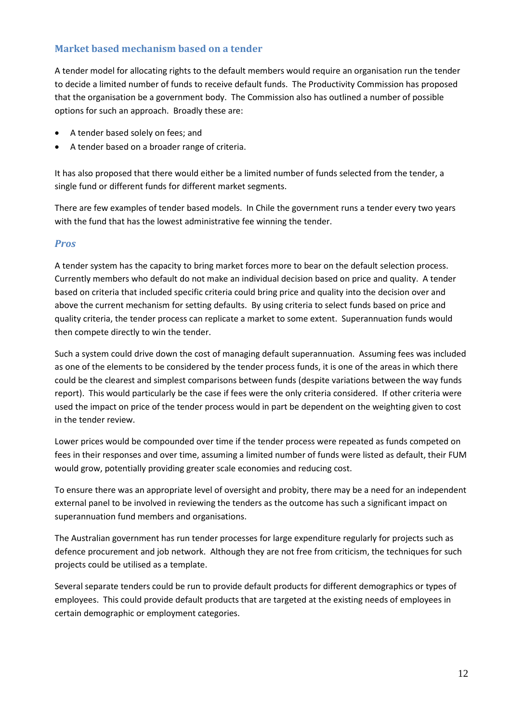#### **Market based mechanism based on a tender**

A tender model for allocating rights to the default members would require an organisation run the tender to decide a limited number of funds to receive default funds. The Productivity Commission has proposed that the organisation be a government body. The Commission also has outlined a number of possible options for such an approach. Broadly these are:

- A tender based solely on fees; and
- A tender based on a broader range of criteria.

It has also proposed that there would either be a limited number of funds selected from the tender, a single fund or different funds for different market segments.

There are few examples of tender based models. In Chile the government runs a tender every two years with the fund that has the lowest administrative fee winning the tender.

#### *Pros*

A tender system has the capacity to bring market forces more to bear on the default selection process. Currently members who default do not make an individual decision based on price and quality. A tender based on criteria that included specific criteria could bring price and quality into the decision over and above the current mechanism for setting defaults. By using criteria to select funds based on price and quality criteria, the tender process can replicate a market to some extent. Superannuation funds would then compete directly to win the tender.

Such a system could drive down the cost of managing default superannuation. Assuming fees was included as one of the elements to be considered by the tender process funds, it is one of the areas in which there could be the clearest and simplest comparisons between funds (despite variations between the way funds report). This would particularly be the case if fees were the only criteria considered. If other criteria were used the impact on price of the tender process would in part be dependent on the weighting given to cost in the tender review.

Lower prices would be compounded over time if the tender process were repeated as funds competed on fees in their responses and over time, assuming a limited number of funds were listed as default, their FUM would grow, potentially providing greater scale economies and reducing cost.

To ensure there was an appropriate level of oversight and probity, there may be a need for an independent external panel to be involved in reviewing the tenders as the outcome has such a significant impact on superannuation fund members and organisations.

The Australian government has run tender processes for large expenditure regularly for projects such as defence procurement and job network. Although they are not free from criticism, the techniques for such projects could be utilised as a template.

Several separate tenders could be run to provide default products for different demographics or types of employees. This could provide default products that are targeted at the existing needs of employees in certain demographic or employment categories.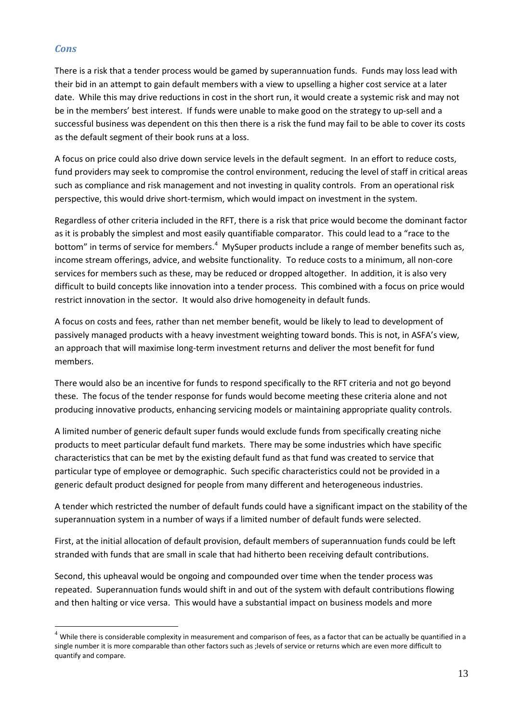#### *Cons*

There is a risk that a tender process would be gamed by superannuation funds. Funds may loss lead with their bid in an attempt to gain default members with a view to upselling a higher cost service at a later date. While this may drive reductions in cost in the short run, it would create a systemic risk and may not be in the members' best interest. If funds were unable to make good on the strategy to up-sell and a successful business was dependent on this then there is a risk the fund may fail to be able to cover its costs as the default segment of their book runs at a loss.

A focus on price could also drive down service levels in the default segment. In an effort to reduce costs, fund providers may seek to compromise the control environment, reducing the level of staff in critical areas such as compliance and risk management and not investing in quality controls. From an operational risk perspective, this would drive short-termism, which would impact on investment in the system.

Regardless of other criteria included in the RFT, there is a risk that price would become the dominant factor as it is probably the simplest and most easily quantifiable comparator. This could lead to a "race to the bottom" in terms of service for members.<sup>[4](#page-12-0)</sup> MySuper products include a range of member benefits such as, income stream offerings, advice, and website functionality. To reduce costs to a minimum, all non-core services for members such as these, may be reduced or dropped altogether. In addition, it is also very difficult to build concepts like innovation into a tender process. This combined with a focus on price would restrict innovation in the sector. It would also drive homogeneity in default funds.

A focus on costs and fees, rather than net member benefit, would be likely to lead to development of passively managed products with a heavy investment weighting toward bonds. This is not, in ASFA's view, an approach that will maximise long-term investment returns and deliver the most benefit for fund members.

There would also be an incentive for funds to respond specifically to the RFT criteria and not go beyond these. The focus of the tender response for funds would become meeting these criteria alone and not producing innovative products, enhancing servicing models or maintaining appropriate quality controls.

A limited number of generic default super funds would exclude funds from specifically creating niche products to meet particular default fund markets. There may be some industries which have specific characteristics that can be met by the existing default fund as that fund was created to service that particular type of employee or demographic. Such specific characteristics could not be provided in a generic default product designed for people from many different and heterogeneous industries.

A tender which restricted the number of default funds could have a significant impact on the stability of the superannuation system in a number of ways if a limited number of default funds were selected.

First, at the initial allocation of default provision, default members of superannuation funds could be left stranded with funds that are small in scale that had hitherto been receiving default contributions.

Second, this upheaval would be ongoing and compounded over time when the tender process was repeated. Superannuation funds would shift in and out of the system with default contributions flowing and then halting or vice versa. This would have a substantial impact on business models and more

<span id="page-12-0"></span> $^4$  While there is considerable complexity in measurement and comparison of fees, as a factor that can be actually be quantified in a single number it is more comparable than other factors such as ;levels of service or returns which are even more difficult to quantify and compare.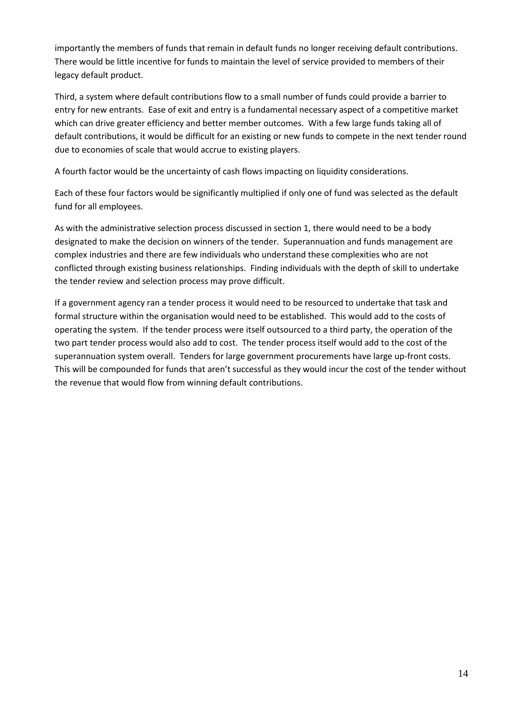importantly the members of funds that remain in default funds no longer receiving default contributions. There would be little incentive for funds to maintain the level of service provided to members of their legacy default product.

Third, a system where default contributions flow to a small number of funds could provide a barrier to entry for new entrants. Ease of exit and entry is a fundamental necessary aspect of a competitive market which can drive greater efficiency and better member outcomes. With a few large funds taking all of default contributions, it would be difficult for an existing or new funds to compete in the next tender round due to economies of scale that would accrue to existing players.

A fourth factor would be the uncertainty of cash flows impacting on liquidity considerations.

Each of these four factors would be significantly multiplied if only one of fund was selected as the default fund for all employees.

As with the administrative selection process discussed in section 1, there would need to be a body designated to make the decision on winners of the tender. Superannuation and funds management are complex industries and there are few individuals who understand these complexities who are not conflicted through existing business relationships. Finding individuals with the depth of skill to undertake the tender review and selection process may prove difficult.

If a government agency ran a tender process it would need to be resourced to undertake that task and formal structure within the organisation would need to be established. This would add to the costs of operating the system. If the tender process were itself outsourced to a third party, the operation of the two part tender process would also add to cost. The tender process itself would add to the cost of the superannuation system overall. Tenders for large government procurements have large up-front costs. This will be compounded for funds that aren't successful as they would incur the cost of the tender without the revenue that would flow from winning default contributions.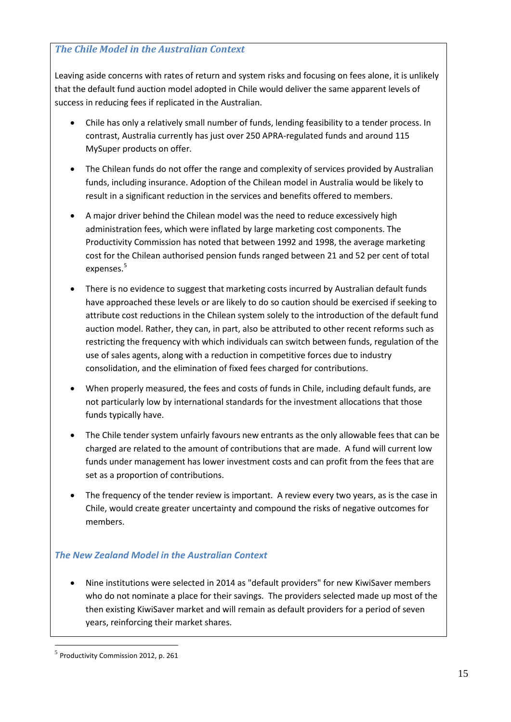#### *The Chile Model in the Australian Context*

Leaving aside concerns with rates of return and system risks and focusing on fees alone, it is unlikely that the default fund auction model adopted in Chile would deliver the same apparent levels of success in reducing fees if replicated in the Australian.

- Chile has only a relatively small number of funds, lending feasibility to a tender process. In contrast, Australia currently has just over 250 APRA-regulated funds and around 115 MySuper products on offer.
- The Chilean funds do not offer the range and complexity of services provided by Australian funds, including insurance. Adoption of the Chilean model in Australia would be likely to result in a significant reduction in the services and benefits offered to members.
- A major driver behind the Chilean model was the need to reduce excessively high administration fees, which were inflated by large marketing cost components. The Productivity Commission has noted that between 1992 and 1998, the average marketing cost for the Chilean authorised pension funds ranged between 21 and 52 per cent of total expenses.<sup>[5](#page-14-0)</sup>
- There is no evidence to suggest that marketing costs incurred by Australian default funds have approached these levels or are likely to do so caution should be exercised if seeking to attribute cost reductions in the Chilean system solely to the introduction of the default fund auction model. Rather, they can, in part, also be attributed to other recent reforms such as restricting the frequency with which individuals can switch between funds, regulation of the use of sales agents, along with a reduction in competitive forces due to industry consolidation, and the elimination of fixed fees charged for contributions.
- When properly measured, the fees and costs of funds in Chile, including default funds, are not particularly low by international standards for the investment allocations that those funds typically have.
- The Chile tender system unfairly favours new entrants as the only allowable fees that can be charged are related to the amount of contributions that are made. A fund will current low funds under management has lower investment costs and can profit from the fees that are set as a proportion of contributions.
- The frequency of the tender review is important. A review every two years, as is the case in Chile, would create greater uncertainty and compound the risks of negative outcomes for members.

#### *The New Zealand Model in the Australian Context*

• Nine institutions were selected in 2014 as "default providers" for new KiwiSaver members who do not nominate a place for their savings. The providers selected made up most of the then existing KiwiSaver market and will remain as default providers for a period of seven years, reinforcing their market shares.

<span id="page-14-0"></span> <sup>5</sup> Productivity Commission 2012, p. 261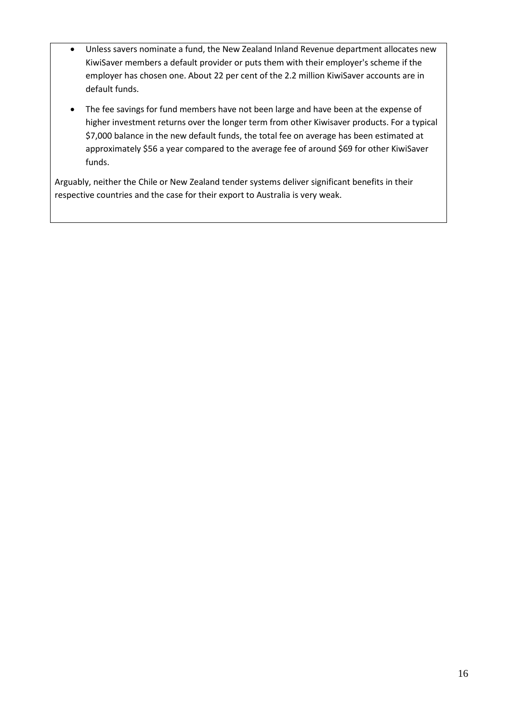- Unless savers nominate a fund, the New Zealand Inland Revenue department allocates new KiwiSaver members a default provider or puts them with their employer's scheme if the employer has chosen one. About 22 per cent of the 2.2 million KiwiSaver accounts are in default funds.
- The fee savings for fund members have not been large and have been at the expense of higher investment returns over the longer term from other Kiwisaver products. For a typical \$7,000 balance in the new default funds, the total fee on average has been estimated at approximately \$56 a year compared to the average fee of around \$69 for other KiwiSaver funds.

Arguably, neither the Chile or New Zealand tender systems deliver significant benefits in their respective countries and the case for their export to Australia is very weak.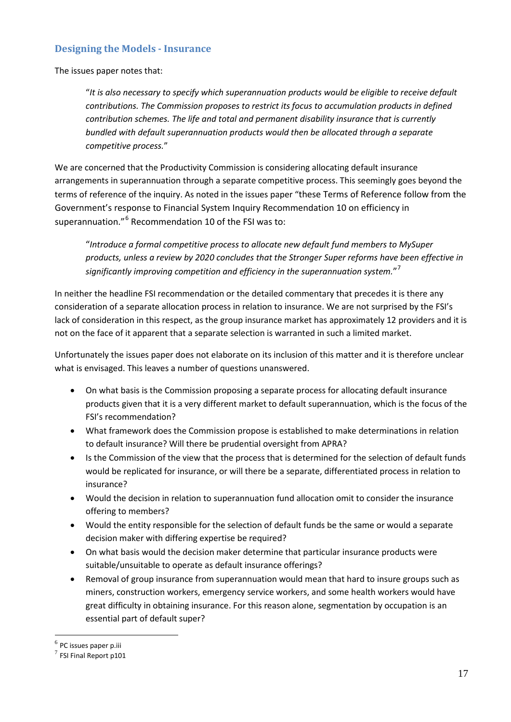#### **Designing the Models - Insurance**

The issues paper notes that:

"*It is also necessary to specify which superannuation products would be eligible to receive default contributions. The Commission proposes to restrict its focus to accumulation products in defined contribution schemes. The life and total and permanent disability insurance that is currently bundled with default superannuation products would then be allocated through a separate competitive process.*"

We are concerned that the Productivity Commission is considering allocating default insurance arrangements in superannuation through a separate competitive process. This seemingly goes beyond the terms of reference of the inquiry. As noted in the issues paper "these Terms of Reference follow from the Government's response to Financial System Inquiry Recommendation 10 on efficiency in superannuation."<sup>[6](#page-16-0)</sup> Recommendation 10 of the FSI was to:

"*Introduce a formal competitive process to allocate new default fund members to MySuper products, unless a review by 2020 concludes that the Stronger Super reforms have been effective in significantly improving competition and efficiency in the superannuation system.*" [7](#page-16-1)

In neither the headline FSI recommendation or the detailed commentary that precedes it is there any consideration of a separate allocation process in relation to insurance. We are not surprised by the FSI's lack of consideration in this respect, as the group insurance market has approximately 12 providers and it is not on the face of it apparent that a separate selection is warranted in such a limited market.

Unfortunately the issues paper does not elaborate on its inclusion of this matter and it is therefore unclear what is envisaged. This leaves a number of questions unanswered.

- On what basis is the Commission proposing a separate process for allocating default insurance products given that it is a very different market to default superannuation, which is the focus of the FSI's recommendation?
- What framework does the Commission propose is established to make determinations in relation to default insurance? Will there be prudential oversight from APRA?
- Is the Commission of the view that the process that is determined for the selection of default funds would be replicated for insurance, or will there be a separate, differentiated process in relation to insurance?
- Would the decision in relation to superannuation fund allocation omit to consider the insurance offering to members?
- Would the entity responsible for the selection of default funds be the same or would a separate decision maker with differing expertise be required?
- On what basis would the decision maker determine that particular insurance products were suitable/unsuitable to operate as default insurance offerings?
- Removal of group insurance from superannuation would mean that hard to insure groups such as miners, construction workers, emergency service workers, and some health workers would have great difficulty in obtaining insurance. For this reason alone, segmentation by occupation is an essential part of default super?

<span id="page-16-0"></span> $<sup>6</sup>$  PC issues paper p.iii</sup>

<span id="page-16-1"></span> $<sup>7</sup>$  FSI Final Report p101</sup>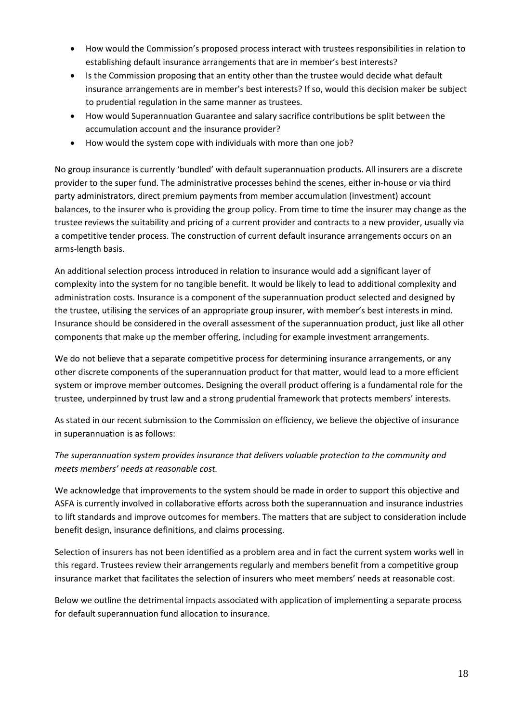- How would the Commission's proposed process interact with trustees responsibilities in relation to establishing default insurance arrangements that are in member's best interests?
- Is the Commission proposing that an entity other than the trustee would decide what default insurance arrangements are in member's best interests? If so, would this decision maker be subject to prudential regulation in the same manner as trustees.
- How would Superannuation Guarantee and salary sacrifice contributions be split between the accumulation account and the insurance provider?
- How would the system cope with individuals with more than one job?

No group insurance is currently 'bundled' with default superannuation products. All insurers are a discrete provider to the super fund. The administrative processes behind the scenes, either in-house or via third party administrators, direct premium payments from member accumulation (investment) account balances, to the insurer who is providing the group policy. From time to time the insurer may change as the trustee reviews the suitability and pricing of a current provider and contracts to a new provider, usually via a competitive tender process. The construction of current default insurance arrangements occurs on an arms-length basis.

An additional selection process introduced in relation to insurance would add a significant layer of complexity into the system for no tangible benefit. It would be likely to lead to additional complexity and administration costs. Insurance is a component of the superannuation product selected and designed by the trustee, utilising the services of an appropriate group insurer, with member's best interests in mind. Insurance should be considered in the overall assessment of the superannuation product, just like all other components that make up the member offering, including for example investment arrangements.

We do not believe that a separate competitive process for determining insurance arrangements, or any other discrete components of the superannuation product for that matter, would lead to a more efficient system or improve member outcomes. Designing the overall product offering is a fundamental role for the trustee, underpinned by trust law and a strong prudential framework that protects members' interests.

As stated in our recent submission to the Commission on efficiency, we believe the objective of insurance in superannuation is as follows:

## *The superannuation system provides insurance that delivers valuable protection to the community and meets members' needs at reasonable cost.*

We acknowledge that improvements to the system should be made in order to support this objective and ASFA is currently involved in collaborative efforts across both the superannuation and insurance industries to lift standards and improve outcomes for members. The matters that are subject to consideration include benefit design, insurance definitions, and claims processing.

Selection of insurers has not been identified as a problem area and in fact the current system works well in this regard. Trustees review their arrangements regularly and members benefit from a competitive group insurance market that facilitates the selection of insurers who meet members' needs at reasonable cost.

Below we outline the detrimental impacts associated with application of implementing a separate process for default superannuation fund allocation to insurance.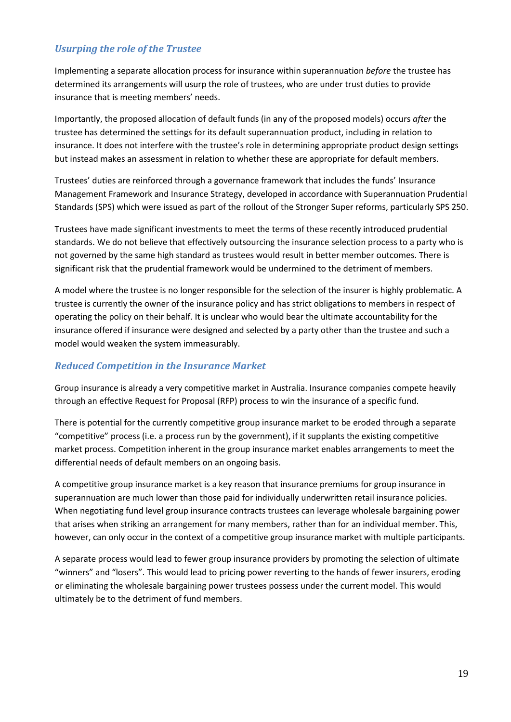## *Usurping the role of the Trustee*

Implementing a separate allocation process for insurance within superannuation *before* the trustee has determined its arrangements will usurp the role of trustees, who are under trust duties to provide insurance that is meeting members' needs.

Importantly, the proposed allocation of default funds (in any of the proposed models) occurs *after* the trustee has determined the settings for its default superannuation product, including in relation to insurance. It does not interfere with the trustee's role in determining appropriate product design settings but instead makes an assessment in relation to whether these are appropriate for default members.

Trustees' duties are reinforced through a governance framework that includes the funds' Insurance Management Framework and Insurance Strategy, developed in accordance with Superannuation Prudential Standards (SPS) which were issued as part of the rollout of the Stronger Super reforms, particularly SPS 250.

Trustees have made significant investments to meet the terms of these recently introduced prudential standards. We do not believe that effectively outsourcing the insurance selection process to a party who is not governed by the same high standard as trustees would result in better member outcomes. There is significant risk that the prudential framework would be undermined to the detriment of members.

A model where the trustee is no longer responsible for the selection of the insurer is highly problematic. A trustee is currently the owner of the insurance policy and has strict obligations to members in respect of operating the policy on their behalf. It is unclear who would bear the ultimate accountability for the insurance offered if insurance were designed and selected by a party other than the trustee and such a model would weaken the system immeasurably.

## *Reduced Competition in the Insurance Market*

Group insurance is already a very competitive market in Australia. Insurance companies compete heavily through an effective Request for Proposal (RFP) process to win the insurance of a specific fund.

There is potential for the currently competitive group insurance market to be eroded through a separate "competitive" process (i.e. a process run by the government), if it supplants the existing competitive market process. Competition inherent in the group insurance market enables arrangements to meet the differential needs of default members on an ongoing basis.

A competitive group insurance market is a key reason that insurance premiums for group insurance in superannuation are much lower than those paid for individually underwritten retail insurance policies. When negotiating fund level group insurance contracts trustees can leverage wholesale bargaining power that arises when striking an arrangement for many members, rather than for an individual member. This, however, can only occur in the context of a competitive group insurance market with multiple participants.

A separate process would lead to fewer group insurance providers by promoting the selection of ultimate "winners" and "losers". This would lead to pricing power reverting to the hands of fewer insurers, eroding or eliminating the wholesale bargaining power trustees possess under the current model. This would ultimately be to the detriment of fund members.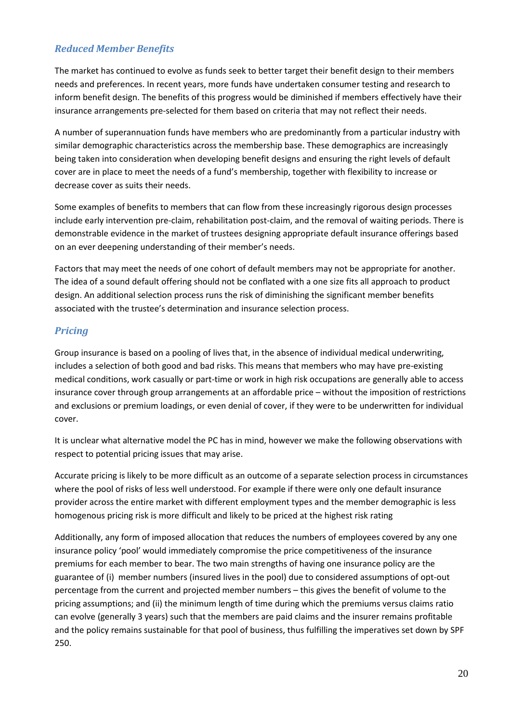## *Reduced Member Benefits*

The market has continued to evolve as funds seek to better target their benefit design to their members needs and preferences. In recent years, more funds have undertaken consumer testing and research to inform benefit design. The benefits of this progress would be diminished if members effectively have their insurance arrangements pre-selected for them based on criteria that may not reflect their needs.

A number of superannuation funds have members who are predominantly from a particular industry with similar demographic characteristics across the membership base. These demographics are increasingly being taken into consideration when developing benefit designs and ensuring the right levels of default cover are in place to meet the needs of a fund's membership, together with flexibility to increase or decrease cover as suits their needs.

Some examples of benefits to members that can flow from these increasingly rigorous design processes include early intervention pre-claim, rehabilitation post-claim, and the removal of waiting periods. There is demonstrable evidence in the market of trustees designing appropriate default insurance offerings based on an ever deepening understanding of their member's needs.

Factors that may meet the needs of one cohort of default members may not be appropriate for another. The idea of a sound default offering should not be conflated with a one size fits all approach to product design. An additional selection process runs the risk of diminishing the significant member benefits associated with the trustee's determination and insurance selection process.

## *Pricing*

Group insurance is based on a pooling of lives that, in the absence of individual medical underwriting, includes a selection of both good and bad risks. This means that members who may have pre-existing medical conditions, work casually or part-time or work in high risk occupations are generally able to access insurance cover through group arrangements at an affordable price – without the imposition of restrictions and exclusions or premium loadings, or even denial of cover, if they were to be underwritten for individual cover.

It is unclear what alternative model the PC has in mind, however we make the following observations with respect to potential pricing issues that may arise.

Accurate pricing is likely to be more difficult as an outcome of a separate selection process in circumstances where the pool of risks of less well understood. For example if there were only one default insurance provider across the entire market with different employment types and the member demographic is less homogenous pricing risk is more difficult and likely to be priced at the highest risk rating

Additionally, any form of imposed allocation that reduces the numbers of employees covered by any one insurance policy 'pool' would immediately compromise the price competitiveness of the insurance premiums for each member to bear. The two main strengths of having one insurance policy are the guarantee of (i) member numbers (insured lives in the pool) due to considered assumptions of opt-out percentage from the current and projected member numbers – this gives the benefit of volume to the pricing assumptions; and (ii) the minimum length of time during which the premiums versus claims ratio can evolve (generally 3 years) such that the members are paid claims and the insurer remains profitable and the policy remains sustainable for that pool of business, thus fulfilling the imperatives set down by SPF 250.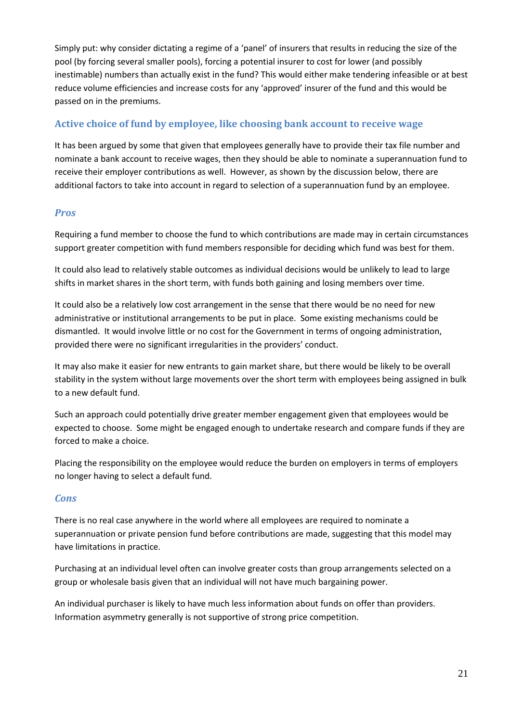Simply put: why consider dictating a regime of a 'panel' of insurers that results in reducing the size of the pool (by forcing several smaller pools), forcing a potential insurer to cost for lower (and possibly inestimable) numbers than actually exist in the fund? This would either make tendering infeasible or at best reduce volume efficiencies and increase costs for any 'approved' insurer of the fund and this would be passed on in the premiums.

## **Active choice of fund by employee, like choosing bank account to receive wage**

It has been argued by some that given that employees generally have to provide their tax file number and nominate a bank account to receive wages, then they should be able to nominate a superannuation fund to receive their employer contributions as well. However, as shown by the discussion below, there are additional factors to take into account in regard to selection of a superannuation fund by an employee.

## *Pros*

Requiring a fund member to choose the fund to which contributions are made may in certain circumstances support greater competition with fund members responsible for deciding which fund was best for them.

It could also lead to relatively stable outcomes as individual decisions would be unlikely to lead to large shifts in market shares in the short term, with funds both gaining and losing members over time.

It could also be a relatively low cost arrangement in the sense that there would be no need for new administrative or institutional arrangements to be put in place. Some existing mechanisms could be dismantled. It would involve little or no cost for the Government in terms of ongoing administration, provided there were no significant irregularities in the providers' conduct.

It may also make it easier for new entrants to gain market share, but there would be likely to be overall stability in the system without large movements over the short term with employees being assigned in bulk to a new default fund.

Such an approach could potentially drive greater member engagement given that employees would be expected to choose. Some might be engaged enough to undertake research and compare funds if they are forced to make a choice.

Placing the responsibility on the employee would reduce the burden on employers in terms of employers no longer having to select a default fund.

#### *Cons*

There is no real case anywhere in the world where all employees are required to nominate a superannuation or private pension fund before contributions are made, suggesting that this model may have limitations in practice.

Purchasing at an individual level often can involve greater costs than group arrangements selected on a group or wholesale basis given that an individual will not have much bargaining power.

An individual purchaser is likely to have much less information about funds on offer than providers. Information asymmetry generally is not supportive of strong price competition.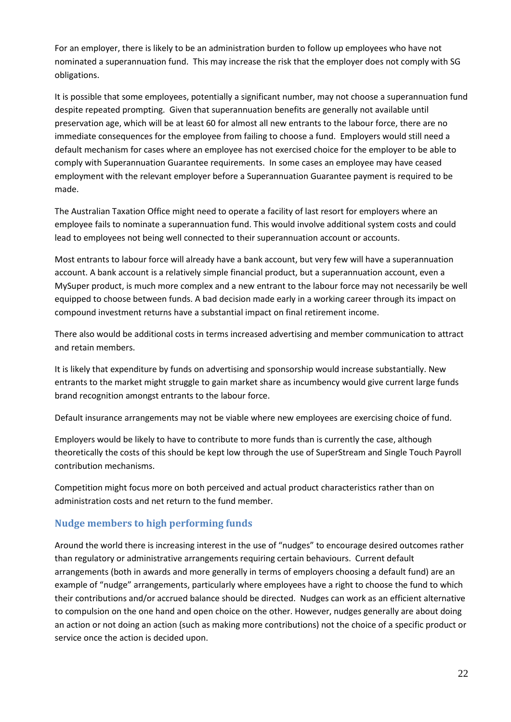For an employer, there is likely to be an administration burden to follow up employees who have not nominated a superannuation fund. This may increase the risk that the employer does not comply with SG obligations.

It is possible that some employees, potentially a significant number, may not choose a superannuation fund despite repeated prompting. Given that superannuation benefits are generally not available until preservation age, which will be at least 60 for almost all new entrants to the labour force, there are no immediate consequences for the employee from failing to choose a fund. Employers would still need a default mechanism for cases where an employee has not exercised choice for the employer to be able to comply with Superannuation Guarantee requirements. In some cases an employee may have ceased employment with the relevant employer before a Superannuation Guarantee payment is required to be made.

The Australian Taxation Office might need to operate a facility of last resort for employers where an employee fails to nominate a superannuation fund. This would involve additional system costs and could lead to employees not being well connected to their superannuation account or accounts.

Most entrants to labour force will already have a bank account, but very few will have a superannuation account. A bank account is a relatively simple financial product, but a superannuation account, even a MySuper product, is much more complex and a new entrant to the labour force may not necessarily be well equipped to choose between funds. A bad decision made early in a working career through its impact on compound investment returns have a substantial impact on final retirement income.

There also would be additional costs in terms increased advertising and member communication to attract and retain members.

It is likely that expenditure by funds on advertising and sponsorship would increase substantially. New entrants to the market might struggle to gain market share as incumbency would give current large funds brand recognition amongst entrants to the labour force.

Default insurance arrangements may not be viable where new employees are exercising choice of fund.

Employers would be likely to have to contribute to more funds than is currently the case, although theoretically the costs of this should be kept low through the use of SuperStream and Single Touch Payroll contribution mechanisms.

Competition might focus more on both perceived and actual product characteristics rather than on administration costs and net return to the fund member.

## **Nudge members to high performing funds**

Around the world there is increasing interest in the use of "nudges" to encourage desired outcomes rather than regulatory or administrative arrangements requiring certain behaviours. Current default arrangements (both in awards and more generally in terms of employers choosing a default fund) are an example of "nudge" arrangements, particularly where employees have a right to choose the fund to which their contributions and/or accrued balance should be directed. Nudges can work as an efficient alternative to compulsion on the one hand and open choice on the other. However, nudges generally are about doing an action or not doing an action (such as making more contributions) not the choice of a specific product or service once the action is decided upon.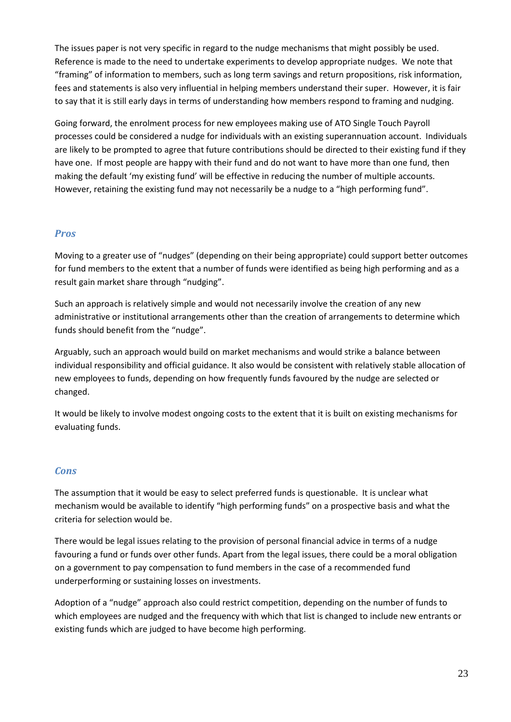The issues paper is not very specific in regard to the nudge mechanisms that might possibly be used. Reference is made to the need to undertake experiments to develop appropriate nudges. We note that "framing" of information to members, such as long term savings and return propositions, risk information, fees and statements is also very influential in helping members understand their super. However, it is fair to say that it is still early days in terms of understanding how members respond to framing and nudging.

Going forward, the enrolment process for new employees making use of ATO Single Touch Payroll processes could be considered a nudge for individuals with an existing superannuation account. Individuals are likely to be prompted to agree that future contributions should be directed to their existing fund if they have one. If most people are happy with their fund and do not want to have more than one fund, then making the default 'my existing fund' will be effective in reducing the number of multiple accounts. However, retaining the existing fund may not necessarily be a nudge to a "high performing fund".

#### *Pros*

Moving to a greater use of "nudges" (depending on their being appropriate) could support better outcomes for fund members to the extent that a number of funds were identified as being high performing and as a result gain market share through "nudging".

Such an approach is relatively simple and would not necessarily involve the creation of any new administrative or institutional arrangements other than the creation of arrangements to determine which funds should benefit from the "nudge".

Arguably, such an approach would build on market mechanisms and would strike a balance between individual responsibility and official guidance. It also would be consistent with relatively stable allocation of new employees to funds, depending on how frequently funds favoured by the nudge are selected or changed.

It would be likely to involve modest ongoing costs to the extent that it is built on existing mechanisms for evaluating funds.

#### *Cons*

The assumption that it would be easy to select preferred funds is questionable. It is unclear what mechanism would be available to identify "high performing funds" on a prospective basis and what the criteria for selection would be.

There would be legal issues relating to the provision of personal financial advice in terms of a nudge favouring a fund or funds over other funds. Apart from the legal issues, there could be a moral obligation on a government to pay compensation to fund members in the case of a recommended fund underperforming or sustaining losses on investments.

Adoption of a "nudge" approach also could restrict competition, depending on the number of funds to which employees are nudged and the frequency with which that list is changed to include new entrants or existing funds which are judged to have become high performing.